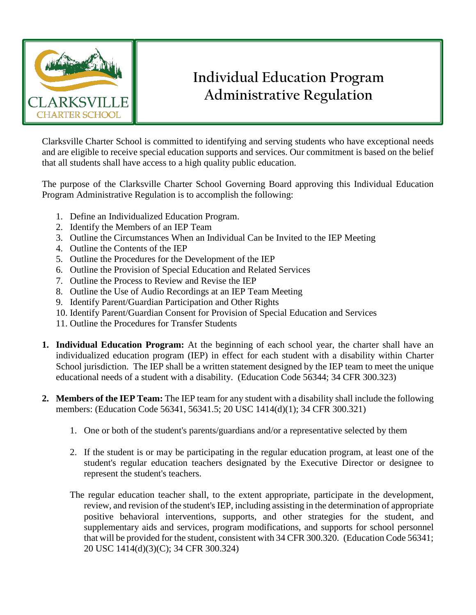

## **Individual Education Program Administrative Regulation**

Clarksville Charter School is committed to identifying and serving students who have exceptional needs and are eligible to receive special education supports and services. Our commitment is based on the belief that all students shall have access to a high quality public education.

The purpose of the Clarksville Charter School Governing Board approving this Individual Education Program Administrative Regulation is to accomplish the following:

- 1. Define an Individualized Education Program.
- 2. Identify the Members of an IEP Team
- 3. Outline the Circumstances When an Individual Can be Invited to the IEP Meeting
- 4. Outline the Contents of the IEP
- 5. Outline the Procedures for the Development of the IEP
- 6. Outline the Provision of Special Education and Related Services
- 7. Outline the Process to Review and Revise the IEP
- 8. Outline the Use of Audio Recordings at an IEP Team Meeting
- 9. Identify Parent/Guardian Participation and Other Rights
- 10. Identify Parent/Guardian Consent for Provision of Special Education and Services
- 11. Outline the Procedures for Transfer Students
- **1. Individual Education Program:** At the beginning of each school year, the charter shall have an individualized education program (IEP) in effect for each student with a disability within Charter School jurisdiction. The IEP shall be a written statement designed by the IEP team to meet the unique educational needs of a student with a disability. (Education Code 56344; 34 CFR 300.323)
- **2. Members of the IEP Team:** The IEP team for any student with a disability shall include the following members: (Education Code 56341, 56341.5; 20 USC 1414(d)(1); 34 CFR 300.321)
	- 1. One or both of the student's parents/guardians and/or a representative selected by them
	- 2. If the student is or may be participating in the regular education program, at least one of the student's regular education teachers designated by the Executive Director or designee to represent the student's teachers.
	- The regular education teacher shall, to the extent appropriate, participate in the development, review, and revision of the student's IEP, including assisting in the determination of appropriate positive behavioral interventions, supports, and other strategies for the student, and supplementary aids and services, program modifications, and supports for school personnel that will be provided for the student, consistent with 34 CFR 300.320. (Education Code 56341; 20 USC 1414(d)(3)(C); 34 CFR 300.324)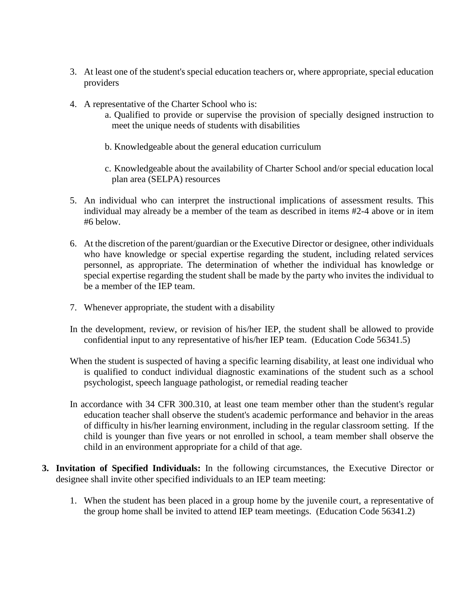- 3. At least one of the student's special education teachers or, where appropriate, special education providers
- 4. A representative of the Charter School who is:
	- a. Qualified to provide or supervise the provision of specially designed instruction to meet the unique needs of students with disabilities
	- b. Knowledgeable about the general education curriculum
	- c. Knowledgeable about the availability of Charter School and/or special education local plan area (SELPA) resources
- 5. An individual who can interpret the instructional implications of assessment results. This individual may already be a member of the team as described in items #2-4 above or in item #6 below.
- 6. At the discretion of the parent/guardian or the Executive Director or designee, other individuals who have knowledge or special expertise regarding the student, including related services personnel, as appropriate. The determination of whether the individual has knowledge or special expertise regarding the student shall be made by the party who invites the individual to be a member of the IEP team.
- 7. Whenever appropriate, the student with a disability
- In the development, review, or revision of his/her IEP, the student shall be allowed to provide confidential input to any representative of his/her IEP team. (Education Code 56341.5)
- When the student is suspected of having a specific learning disability, at least one individual who is qualified to conduct individual diagnostic examinations of the student such as a school psychologist, speech language pathologist, or remedial reading teacher
- In accordance with 34 CFR 300.310, at least one team member other than the student's regular education teacher shall observe the student's academic performance and behavior in the areas of difficulty in his/her learning environment, including in the regular classroom setting. If the child is younger than five years or not enrolled in school, a team member shall observe the child in an environment appropriate for a child of that age.
- **3. Invitation of Specified Individuals:** In the following circumstances, the Executive Director or designee shall invite other specified individuals to an IEP team meeting:
	- 1. When the student has been placed in a group home by the juvenile court, a representative of the group home shall be invited to attend IEP team meetings. (Education Code 56341.2)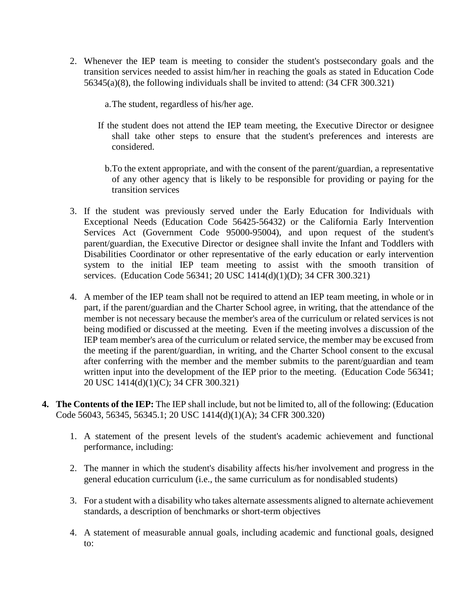- 2. Whenever the IEP team is meeting to consider the student's postsecondary goals and the transition services needed to assist him/her in reaching the goals as stated in Education Code 56345(a)(8), the following individuals shall be invited to attend: (34 CFR 300.321)
	- a.The student, regardless of his/her age.
	- If the student does not attend the IEP team meeting, the Executive Director or designee shall take other steps to ensure that the student's preferences and interests are considered.
		- b.To the extent appropriate, and with the consent of the parent/guardian, a representative of any other agency that is likely to be responsible for providing or paying for the transition services
- 3. If the student was previously served under the Early Education for Individuals with Exceptional Needs (Education Code 56425-56432) or the California Early Intervention Services Act (Government Code 95000-95004), and upon request of the student's parent/guardian, the Executive Director or designee shall invite the Infant and Toddlers with Disabilities Coordinator or other representative of the early education or early intervention system to the initial IEP team meeting to assist with the smooth transition of services. (Education Code 56341; 20 USC 1414(d)(1)(D); 34 CFR 300.321)
- 4. A member of the IEP team shall not be required to attend an IEP team meeting, in whole or in part, if the parent/guardian and the Charter School agree, in writing, that the attendance of the member is not necessary because the member's area of the curriculum or related services is not being modified or discussed at the meeting. Even if the meeting involves a discussion of the IEP team member's area of the curriculum or related service, the member may be excused from the meeting if the parent/guardian, in writing, and the Charter School consent to the excusal after conferring with the member and the member submits to the parent/guardian and team written input into the development of the IEP prior to the meeting. (Education Code 56341; 20 USC 1414(d)(1)(C); 34 CFR 300.321)
- **4. The Contents of the IEP:** The IEP shall include, but not be limited to, all of the following: (Education Code 56043, 56345, 56345.1; 20 USC 1414(d)(1)(A); 34 CFR 300.320)
	- 1. A statement of the present levels of the student's academic achievement and functional performance, including:
	- 2. The manner in which the student's disability affects his/her involvement and progress in the general education curriculum (i.e., the same curriculum as for nondisabled students)
	- 3. For a student with a disability who takes alternate assessments aligned to alternate achievement standards, a description of benchmarks or short-term objectives
	- 4. A statement of measurable annual goals, including academic and functional goals, designed to: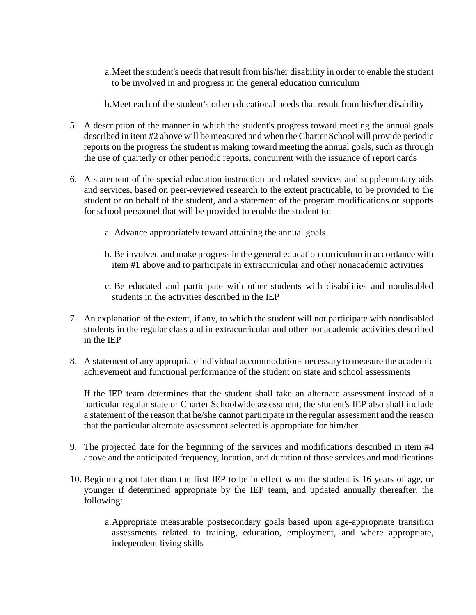a.Meet the student's needs that result from his/her disability in order to enable the student to be involved in and progress in the general education curriculum

b.Meet each of the student's other educational needs that result from his/her disability

- 5. A description of the manner in which the student's progress toward meeting the annual goals described in item #2 above will be measured and when the Charter School will provide periodic reports on the progress the student is making toward meeting the annual goals, such as through the use of quarterly or other periodic reports, concurrent with the issuance of report cards
- 6. A statement of the special education instruction and related services and supplementary aids and services, based on peer-reviewed research to the extent practicable, to be provided to the student or on behalf of the student, and a statement of the program modifications or supports for school personnel that will be provided to enable the student to:
	- a. Advance appropriately toward attaining the annual goals
	- b. Be involved and make progress in the general education curriculum in accordance with item #1 above and to participate in extracurricular and other nonacademic activities
	- c. Be educated and participate with other students with disabilities and nondisabled students in the activities described in the IEP
- 7. An explanation of the extent, if any, to which the student will not participate with nondisabled students in the regular class and in extracurricular and other nonacademic activities described in the IEP
- 8. A statement of any appropriate individual accommodations necessary to measure the academic achievement and functional performance of the student on state and school assessments

If the IEP team determines that the student shall take an alternate assessment instead of a particular regular state or Charter Schoolwide assessment, the student's IEP also shall include a statement of the reason that he/she cannot participate in the regular assessment and the reason that the particular alternate assessment selected is appropriate for him/her.

- 9. The projected date for the beginning of the services and modifications described in item #4 above and the anticipated frequency, location, and duration of those services and modifications
- 10. Beginning not later than the first IEP to be in effect when the student is 16 years of age, or younger if determined appropriate by the IEP team, and updated annually thereafter, the following:
	- a.Appropriate measurable postsecondary goals based upon age-appropriate transition assessments related to training, education, employment, and where appropriate, independent living skills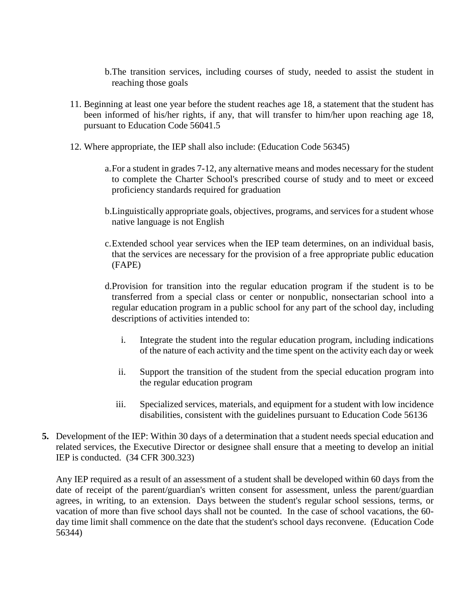b.The transition services, including courses of study, needed to assist the student in reaching those goals

- 11. Beginning at least one year before the student reaches age 18, a statement that the student has been informed of his/her rights, if any, that will transfer to him/her upon reaching age 18, pursuant to Education Code 56041.5
- 12. Where appropriate, the IEP shall also include: (Education Code 56345)
	- a.For a student in grades 7-12, any alternative means and modes necessary for the student to complete the Charter School's prescribed course of study and to meet or exceed proficiency standards required for graduation
	- b.Linguistically appropriate goals, objectives, programs, and services for a student whose native language is not English
	- c.Extended school year services when the IEP team determines, on an individual basis, that the services are necessary for the provision of a free appropriate public education (FAPE)
	- d.Provision for transition into the regular education program if the student is to be transferred from a special class or center or nonpublic, nonsectarian school into a regular education program in a public school for any part of the school day, including descriptions of activities intended to:
		- i. Integrate the student into the regular education program, including indications of the nature of each activity and the time spent on the activity each day or week
		- ii. Support the transition of the student from the special education program into the regular education program
		- iii. Specialized services, materials, and equipment for a student with low incidence disabilities, consistent with the guidelines pursuant to Education Code 56136
- **5.** Development of the IEP: Within 30 days of a determination that a student needs special education and related services, the Executive Director or designee shall ensure that a meeting to develop an initial IEP is conducted. (34 CFR 300.323)

Any IEP required as a result of an assessment of a student shall be developed within 60 days from the date of receipt of the parent/guardian's written consent for assessment, unless the parent/guardian agrees, in writing, to an extension. Days between the student's regular school sessions, terms, or vacation of more than five school days shall not be counted. In the case of school vacations, the 60 day time limit shall commence on the date that the student's school days reconvene. (Education Code 56344)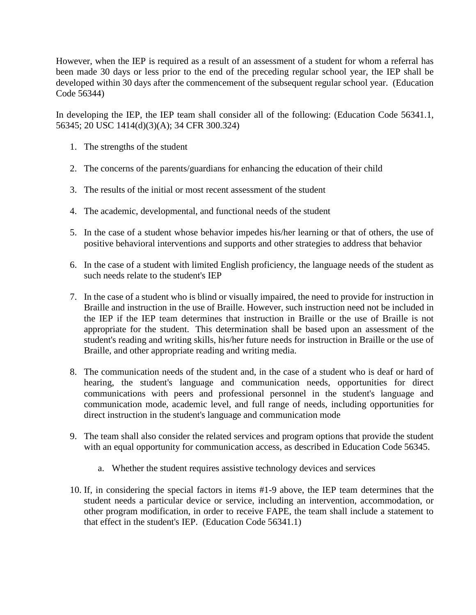However, when the IEP is required as a result of an assessment of a student for whom a referral has been made 30 days or less prior to the end of the preceding regular school year, the IEP shall be developed within 30 days after the commencement of the subsequent regular school year. (Education Code 56344)

In developing the IEP, the IEP team shall consider all of the following: (Education Code 56341.1, 56345; 20 USC 1414(d)(3)(A); 34 CFR 300.324)

- 1. The strengths of the student
- 2. The concerns of the parents/guardians for enhancing the education of their child
- 3. The results of the initial or most recent assessment of the student
- 4. The academic, developmental, and functional needs of the student
- 5. In the case of a student whose behavior impedes his/her learning or that of others, the use of positive behavioral interventions and supports and other strategies to address that behavior
- 6. In the case of a student with limited English proficiency, the language needs of the student as such needs relate to the student's IEP
- 7. In the case of a student who is blind or visually impaired, the need to provide for instruction in Braille and instruction in the use of Braille. However, such instruction need not be included in the IEP if the IEP team determines that instruction in Braille or the use of Braille is not appropriate for the student. This determination shall be based upon an assessment of the student's reading and writing skills, his/her future needs for instruction in Braille or the use of Braille, and other appropriate reading and writing media.
- 8. The communication needs of the student and, in the case of a student who is deaf or hard of hearing, the student's language and communication needs, opportunities for direct communications with peers and professional personnel in the student's language and communication mode, academic level, and full range of needs, including opportunities for direct instruction in the student's language and communication mode
- 9. The team shall also consider the related services and program options that provide the student with an equal opportunity for communication access, as described in Education Code 56345.
	- a. Whether the student requires assistive technology devices and services
- 10. If, in considering the special factors in items #1-9 above, the IEP team determines that the student needs a particular device or service, including an intervention, accommodation, or other program modification, in order to receive FAPE, the team shall include a statement to that effect in the student's IEP. (Education Code 56341.1)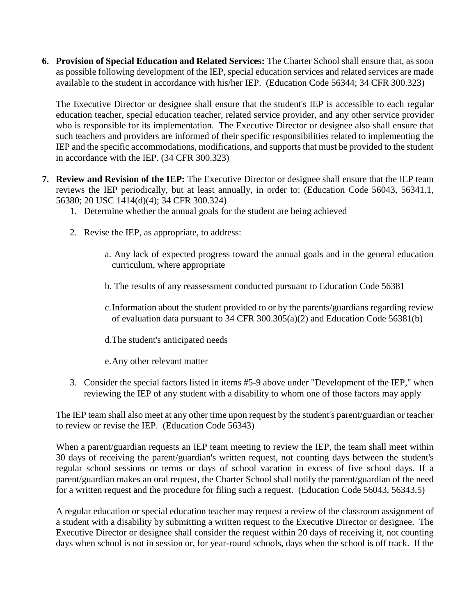**6. Provision of Special Education and Related Services:** The Charter School shall ensure that, as soon as possible following development of the IEP, special education services and related services are made available to the student in accordance with his/her IEP. (Education Code 56344; 34 CFR 300.323)

The Executive Director or designee shall ensure that the student's IEP is accessible to each regular education teacher, special education teacher, related service provider, and any other service provider who is responsible for its implementation. The Executive Director or designee also shall ensure that such teachers and providers are informed of their specific responsibilities related to implementing the IEP and the specific accommodations, modifications, and supports that must be provided to the student in accordance with the IEP. (34 CFR 300.323)

- **7. Review and Revision of the IEP:** The Executive Director or designee shall ensure that the IEP team reviews the IEP periodically, but at least annually, in order to: (Education Code 56043, 56341.1, 56380; 20 USC 1414(d)(4); 34 CFR 300.324)
	- 1. Determine whether the annual goals for the student are being achieved
	- 2. Revise the IEP, as appropriate, to address:
		- a. Any lack of expected progress toward the annual goals and in the general education curriculum, where appropriate
		- b. The results of any reassessment conducted pursuant to Education Code 56381
		- c.Information about the student provided to or by the parents/guardians regarding review of evaluation data pursuant to 34 CFR 300.305(a)(2) and Education Code 56381(b)
		- d.The student's anticipated needs
		- e.Any other relevant matter
	- 3. Consider the special factors listed in items #5-9 above under "Development of the IEP," when reviewing the IEP of any student with a disability to whom one of those factors may apply

The IEP team shall also meet at any other time upon request by the student's parent/guardian or teacher to review or revise the IEP. (Education Code 56343)

When a parent/guardian requests an IEP team meeting to review the IEP, the team shall meet within 30 days of receiving the parent/guardian's written request, not counting days between the student's regular school sessions or terms or days of school vacation in excess of five school days. If a parent/guardian makes an oral request, the Charter School shall notify the parent/guardian of the need for a written request and the procedure for filing such a request. (Education Code 56043, 56343.5)

A regular education or special education teacher may request a review of the classroom assignment of a student with a disability by submitting a written request to the Executive Director or designee. The Executive Director or designee shall consider the request within 20 days of receiving it, not counting days when school is not in session or, for year-round schools, days when the school is off track. If the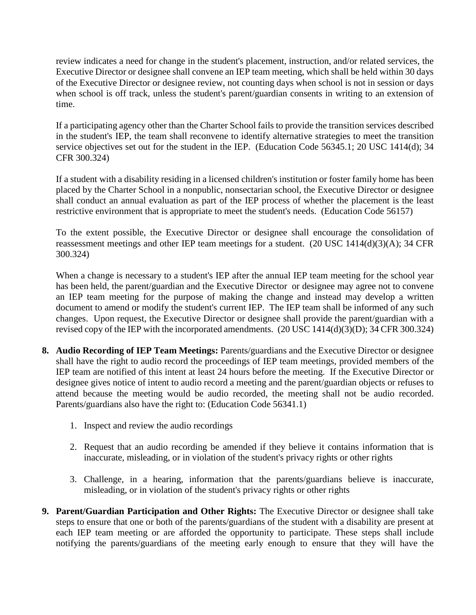review indicates a need for change in the student's placement, instruction, and/or related services, the Executive Director or designee shall convene an IEP team meeting, which shall be held within 30 days of the Executive Director or designee review, not counting days when school is not in session or days when school is off track, unless the student's parent/guardian consents in writing to an extension of time.

If a participating agency other than the Charter School fails to provide the transition services described in the student's IEP, the team shall reconvene to identify alternative strategies to meet the transition service objectives set out for the student in the IEP. (Education Code 56345.1; 20 USC 1414(d); 34 CFR 300.324)

If a student with a disability residing in a licensed children's institution or foster family home has been placed by the Charter School in a nonpublic, nonsectarian school, the Executive Director or designee shall conduct an annual evaluation as part of the IEP process of whether the placement is the least restrictive environment that is appropriate to meet the student's needs. (Education Code 56157)

To the extent possible, the Executive Director or designee shall encourage the consolidation of reassessment meetings and other IEP team meetings for a student. (20 USC 1414(d)(3)(A); 34 CFR 300.324)

When a change is necessary to a student's IEP after the annual IEP team meeting for the school year has been held, the parent/guardian and the Executive Director or designee may agree not to convene an IEP team meeting for the purpose of making the change and instead may develop a written document to amend or modify the student's current IEP. The IEP team shall be informed of any such changes. Upon request, the Executive Director or designee shall provide the parent/guardian with a revised copy of the IEP with the incorporated amendments. (20 USC 1414(d)(3)(D); 34 CFR 300.324)

- **8. Audio Recording of IEP Team Meetings:** Parents/guardians and the Executive Director or designee shall have the right to audio record the proceedings of IEP team meetings, provided members of the IEP team are notified of this intent at least 24 hours before the meeting. If the Executive Director or designee gives notice of intent to audio record a meeting and the parent/guardian objects or refuses to attend because the meeting would be audio recorded, the meeting shall not be audio recorded. Parents/guardians also have the right to: (Education Code 56341.1)
	- 1. Inspect and review the audio recordings
	- 2. Request that an audio recording be amended if they believe it contains information that is inaccurate, misleading, or in violation of the student's privacy rights or other rights
	- 3. Challenge, in a hearing, information that the parents/guardians believe is inaccurate, misleading, or in violation of the student's privacy rights or other rights
- **9. Parent/Guardian Participation and Other Rights:** The Executive Director or designee shall take steps to ensure that one or both of the parents/guardians of the student with a disability are present at each IEP team meeting or are afforded the opportunity to participate. These steps shall include notifying the parents/guardians of the meeting early enough to ensure that they will have the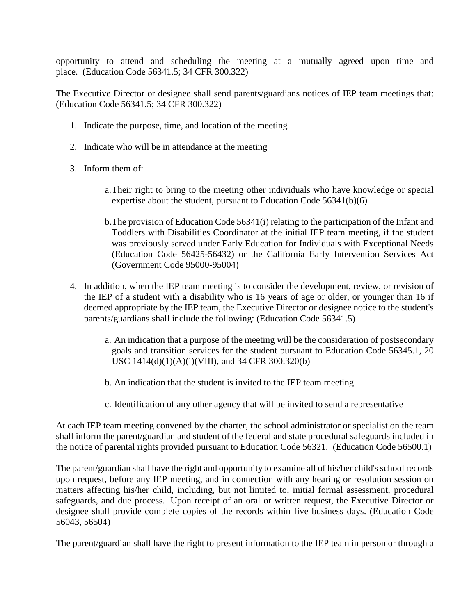opportunity to attend and scheduling the meeting at a mutually agreed upon time and place. (Education Code 56341.5; 34 CFR 300.322)

The Executive Director or designee shall send parents/guardians notices of IEP team meetings that: (Education Code 56341.5; 34 CFR 300.322)

- 1. Indicate the purpose, time, and location of the meeting
- 2. Indicate who will be in attendance at the meeting
- 3. Inform them of:
	- a.Their right to bring to the meeting other individuals who have knowledge or special expertise about the student, pursuant to Education Code 56341(b)(6)
	- b.The provision of Education Code 56341(i) relating to the participation of the Infant and Toddlers with Disabilities Coordinator at the initial IEP team meeting, if the student was previously served under Early Education for Individuals with Exceptional Needs (Education Code 56425-56432) or the California Early Intervention Services Act (Government Code 95000-95004)
- 4. In addition, when the IEP team meeting is to consider the development, review, or revision of the IEP of a student with a disability who is 16 years of age or older, or younger than 16 if deemed appropriate by the IEP team, the Executive Director or designee notice to the student's parents/guardians shall include the following: (Education Code 56341.5)
	- a. An indication that a purpose of the meeting will be the consideration of postsecondary goals and transition services for the student pursuant to Education Code 56345.1, 20 USC 1414(d)(1)(A)(i)(VIII), and 34 CFR 300.320(b)
	- b. An indication that the student is invited to the IEP team meeting
	- c. Identification of any other agency that will be invited to send a representative

At each IEP team meeting convened by the charter, the school administrator or specialist on the team shall inform the parent/guardian and student of the federal and state procedural safeguards included in the notice of parental rights provided pursuant to Education Code 56321. (Education Code 56500.1)

The parent/guardian shall have the right and opportunity to examine all of his/her child's school records upon request, before any IEP meeting, and in connection with any hearing or resolution session on matters affecting his/her child, including, but not limited to, initial formal assessment, procedural safeguards, and due process. Upon receipt of an oral or written request, the Executive Director or designee shall provide complete copies of the records within five business days. (Education Code 56043, 56504)

The parent/guardian shall have the right to present information to the IEP team in person or through a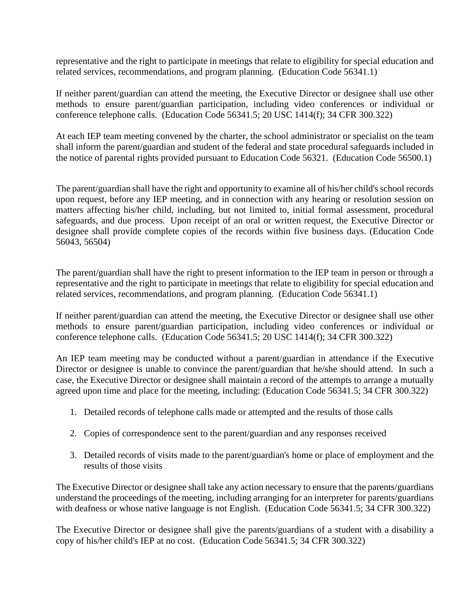representative and the right to participate in meetings that relate to eligibility for special education and related services, recommendations, and program planning. (Education Code 56341.1)

If neither parent/guardian can attend the meeting, the Executive Director or designee shall use other methods to ensure parent/guardian participation, including video conferences or individual or conference telephone calls. (Education Code 56341.5; 20 USC 1414(f); 34 CFR 300.322)

At each IEP team meeting convened by the charter, the school administrator or specialist on the team shall inform the parent/guardian and student of the federal and state procedural safeguards included in the notice of parental rights provided pursuant to Education Code 56321. (Education Code 56500.1)

The parent/guardian shall have the right and opportunity to examine all of his/her child's school records upon request, before any IEP meeting, and in connection with any hearing or resolution session on matters affecting his/her child, including, but not limited to, initial formal assessment, procedural safeguards, and due process. Upon receipt of an oral or written request, the Executive Director or designee shall provide complete copies of the records within five business days. (Education Code 56043, 56504)

The parent/guardian shall have the right to present information to the IEP team in person or through a representative and the right to participate in meetings that relate to eligibility for special education and related services, recommendations, and program planning. (Education Code 56341.1)

If neither parent/guardian can attend the meeting, the Executive Director or designee shall use other methods to ensure parent/guardian participation, including video conferences or individual or conference telephone calls. (Education Code 56341.5; 20 USC 1414(f); 34 CFR 300.322)

An IEP team meeting may be conducted without a parent/guardian in attendance if the Executive Director or designee is unable to convince the parent/guardian that he/she should attend. In such a case, the Executive Director or designee shall maintain a record of the attempts to arrange a mutually agreed upon time and place for the meeting, including: (Education Code 56341.5; 34 CFR 300.322)

- 1. Detailed records of telephone calls made or attempted and the results of those calls
- 2. Copies of correspondence sent to the parent/guardian and any responses received
- 3. Detailed records of visits made to the parent/guardian's home or place of employment and the results of those visits

The Executive Director or designee shall take any action necessary to ensure that the parents/guardians understand the proceedings of the meeting, including arranging for an interpreter for parents/guardians with deafness or whose native language is not English. (Education Code 56341.5; 34 CFR 300.322)

The Executive Director or designee shall give the parents/guardians of a student with a disability a copy of his/her child's IEP at no cost. (Education Code 56341.5; 34 CFR 300.322)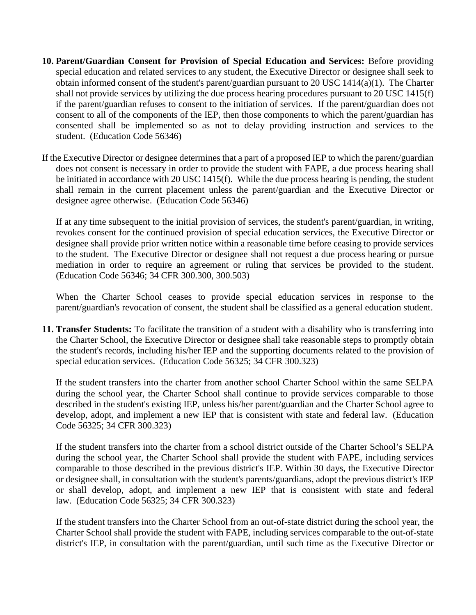- **10. Parent/Guardian Consent for Provision of Special Education and Services:** Before providing special education and related services to any student, the Executive Director or designee shall seek to obtain informed consent of the student's parent/guardian pursuant to 20 USC 1414(a)(1). The Charter shall not provide services by utilizing the due process hearing procedures pursuant to 20 USC 1415(f) if the parent/guardian refuses to consent to the initiation of services. If the parent/guardian does not consent to all of the components of the IEP, then those components to which the parent/guardian has consented shall be implemented so as not to delay providing instruction and services to the student. (Education Code 56346)
- If the Executive Director or designee determines that a part of a proposed IEP to which the parent/guardian does not consent is necessary in order to provide the student with FAPE, a due process hearing shall be initiated in accordance with 20 USC 1415(f). While the due process hearing is pending, the student shall remain in the current placement unless the parent/guardian and the Executive Director or designee agree otherwise. (Education Code 56346)

If at any time subsequent to the initial provision of services, the student's parent/guardian, in writing, revokes consent for the continued provision of special education services, the Executive Director or designee shall provide prior written notice within a reasonable time before ceasing to provide services to the student. The Executive Director or designee shall not request a due process hearing or pursue mediation in order to require an agreement or ruling that services be provided to the student. (Education Code 56346; 34 CFR 300.300, 300.503)

When the Charter School ceases to provide special education services in response to the parent/guardian's revocation of consent, the student shall be classified as a general education student.

**11. Transfer Students:** To facilitate the transition of a student with a disability who is transferring into the Charter School, the Executive Director or designee shall take reasonable steps to promptly obtain the student's records, including his/her IEP and the supporting documents related to the provision of special education services. (Education Code 56325; 34 CFR 300.323)

If the student transfers into the charter from another school Charter School within the same SELPA during the school year, the Charter School shall continue to provide services comparable to those described in the student's existing IEP, unless his/her parent/guardian and the Charter School agree to develop, adopt, and implement a new IEP that is consistent with state and federal law. (Education Code 56325; 34 CFR 300.323)

If the student transfers into the charter from a school district outside of the Charter School's SELPA during the school year, the Charter School shall provide the student with FAPE, including services comparable to those described in the previous district's IEP. Within 30 days, the Executive Director or designee shall, in consultation with the student's parents/guardians, adopt the previous district's IEP or shall develop, adopt, and implement a new IEP that is consistent with state and federal law. (Education Code 56325; 34 CFR 300.323)

If the student transfers into the Charter School from an out-of-state district during the school year, the Charter School shall provide the student with FAPE, including services comparable to the out-of-state district's IEP, in consultation with the parent/guardian, until such time as the Executive Director or